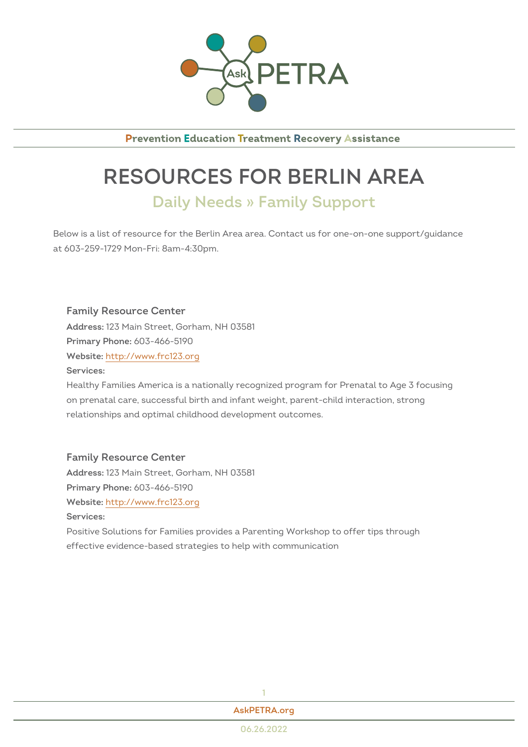

**Prevention Education Treatment Recovery Assistance** 

## RESOURCES FOR BERLIN A Daily Needs » Family Support

Below is a list of resource for the Berlin Area area. Contact us for one-onat 603-259-1729 Mon-Fri: 8am-4:30pm.

Family Resource Center Addres\$23 Main Street, Gorham, NH 03581 Primary Phono8: 466-5190 Websithet: tp://www.frc123.org Services: Healthy Families America is a nationally recognized program for Prenata

on prenatal care, successful birth and infant weight, parent-child interac relationships and optimal childhood development outcomes.

Family Resource Center Addres\$23 Main Street, Gorham, NH 03581  $Primary Ph@P@: 466-5190$ Websithet: tp://www.frc123.org Services: Positive Solutions for Families provides a Parenting Workshop to offer ti effective evidence-based strategies to help with communication

[AskPETRA](https://askpetra.org).org

1